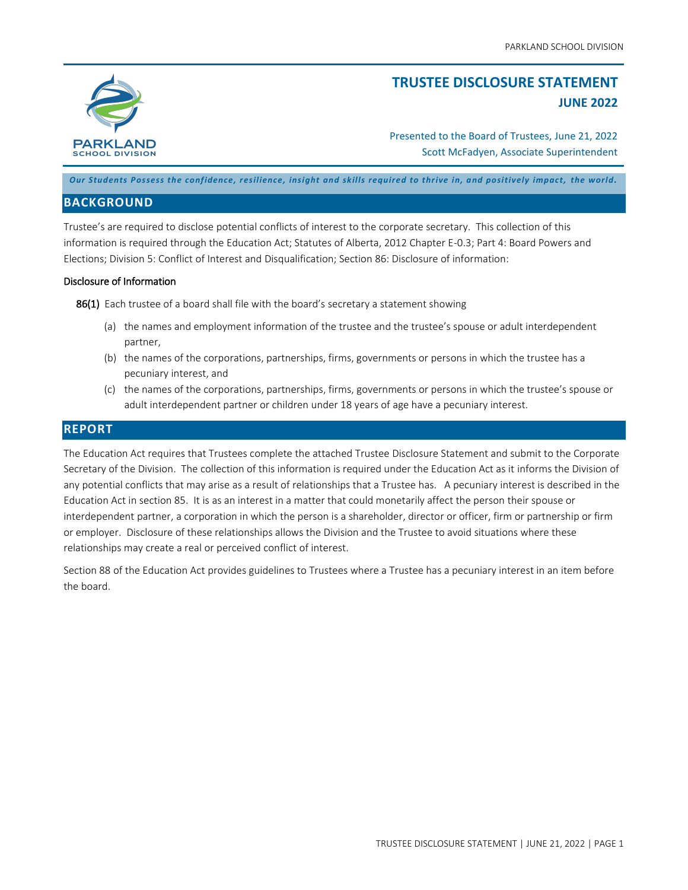

# **TRUSTEE DISCLOSURE STATEMENT JUNE 2022**

Presented to the Board of Trustees, June 21, 2022 Scott McFadyen, Associate Superintendent

*Our Students Possess the confidence, resilience, insight and skills required to thrive in, and positively impact, the world.*

## **BACKGROUND**

Trustee's are required to disclose potential conflicts of interest to the corporate secretary. This collection of this information is required through the Education Act; Statutes of Alberta, 2012 Chapter E-0.3; Part 4: Board Powers and Elections; Division 5: Conflict of Interest and Disqualification; Section 86: Disclosure of information:

#### Disclosure of Information

86(1) Each trustee of a board shall file with the board's secretary a statement showing

- (a) the names and employment information of the trustee and the trustee's spouse or adult interdependent partner,
- (b) the names of the corporations, partnerships, firms, governments or persons in which the trustee has a pecuniary interest, and
- (c) the names of the corporations, partnerships, firms, governments or persons in which the trustee's spouse or adult interdependent partner or children under 18 years of age have a pecuniary interest.

### **REPORT**

The Education Act requires that Trustees complete the attached Trustee Disclosure Statement and submit to the Corporate Secretary of the Division. The collection of this information is required under the Education Act as it informs the Division of any potential conflicts that may arise as a result of relationships that a Trustee has. A pecuniary interest is described in the Education Act in section 85. It is as an interest in a matter that could monetarily affect the person their spouse or interdependent partner, a corporation in which the person is a shareholder, director or officer, firm or partnership or firm or employer. Disclosure of these relationships allows the Division and the Trustee to avoid situations where these relationships may create a real or perceived conflict of interest.

Section 88 of the Education Act provides guidelines to Trustees where a Trustee has a pecuniary interest in an item before the board.